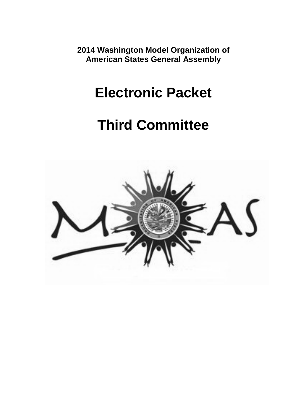**2014 Washington Model Organization of American States General Assembly**

# **Electronic Packet**

# **Third Committee**

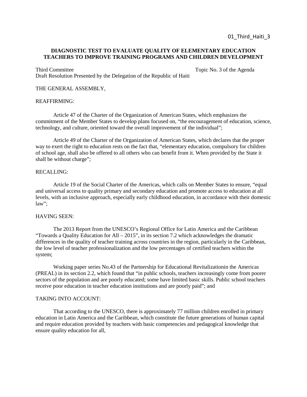# **DIAGNOSTIC TEST TO EVALUATE QUALITY OF ELEMENTARY EDUCATION TEACHERS TO IMPROVE TRAINING PROGRAMS AND CHILDREN DEVELOPMENT**

Draft Resolution Presented by the Delegation of the Republic of Haiti

#### THE GENERAL ASSEMBLY,

#### REAFFIRMING:

Article 47 of the Charter of the Organization of American States, which emphasizes the commitment of the Member States to develop plans focused on, "the encouragement of education, science, technology, and culture, oriented toward the overall improvement of the individual";

Article 49 of the Charter of the Organization of American States, which declares that the proper way to exert the right to education rests on the fact that, "elementary education, compulsory for children of school age, shall also be offered to all others who can benefit from it. When provided by the State it shall be without charge";

#### RECALLING:

Article 19 of the Social Charter of the Americas, which calls on Member States to ensure, "equal and universal access to quality primary and secondary education and promote access to education at all levels, with an inclusive approach, especially early childhood education, in accordance with their domestic law";

#### HAVING SEEN:

The 2013 Report from the UNESCO's Regional Office for Latin America and the Caribbean "Towards a Quality Education for All – 2015", in its section 7.2 which acknowledges the dramatic differences in the quality of teacher training across countries in the region, particularly in the Caribbean, the low level of teacher professionalization and the low percentages of certified teachers within the system;

Working paper series No.43 of the Partnership for Educational Revitalizationin the Americas (PREAL) in its section 2.2, which found that "in public schools, teachers increasingly come from poorer sectors of the population and are poorly educated; some have limited basic skills. Public school teachers receive poor education in teacher education institutions and are poorly paid"; and

# TAKING INTO ACCOUNT:

That according to the UNESCO, there is approximately 77 million children enrolled in primary education in Latin America and the Caribbean, which constitute the future generations of human capital and require education provided by teachers with basic competencies and pedagogical knowledge that ensure quality education for all,

Third Committee Topic No. 3 of the Agenda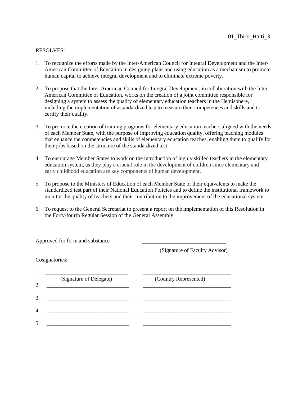- 1. To recognize the efforts made by the Inter-American Council for Integral Development and the Inter-American Committee of Education in designing plans and using education as a mechanism to promote human capital to achieve integral development and to eliminate extreme poverty.
- 2. To propose that the Inter-American Council for Integral Development, in collaboration with the Inter-American Committee of Education, works on the creation of a joint committee responsible for designing a system to assess the quality of elementary education teachers in the Hemisphere, including the implementation of astandardized test to measure their competences and skills and to certify their quality.
- 3. To promote the creation of training programs for elementary education teachers aligned with the needs of each Member State, with the purpose of improving education quality, offering teaching modules that enhance the competencies and skills of elementary education teaches, enabling them to qualify for their jobs based on the structure of the standardized test.
- 4. To encourage Member States to work on the introduction of highly skilled teachers in the elementary education system, as they play a crucial role in the development of children since elementary and early childhood education are key components of human development.
- 5. To propose to the Ministers of Education of each Member State or their equivalents to make the standardized test part of their National Education Policies and to define the institutional framework to monitor the quality of teachers and their contribution to the improvement of the educational system.
- 6. To request to the General Secretariat to present a report on the implementation of this Resolution in the Forty-fourth Regular Session of the General Assembly.

| Approved for form and substance |                                |
|---------------------------------|--------------------------------|
|                                 | (Signature of Faculty Advisor) |
| Cosignatories:                  |                                |
| 1.                              |                                |
| (Signature of Delegate)<br>2.   | (Country Represented)          |
|                                 |                                |
| 3.                              |                                |
| $\overline{4}$                  |                                |
| 5.                              |                                |
|                                 |                                |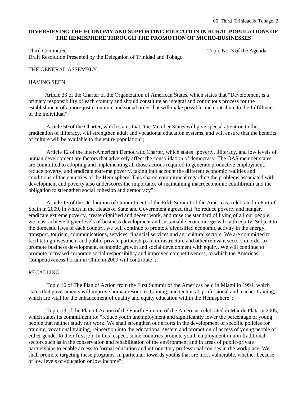# **DIVERSIFYING THE ECONOMY AND SUPPORTING EDUCATION IN RURAL POPULATIONS OF THE HEMISPHERE THROUGH THE PROMOTION OF MICRO-BUSINESSES**

Third Committee Topic No. 3 of the Agenda Draft Resolution Presented by the Delegation of Trinidad and Tobago

#### THE GENERAL ASSEMBLY,

#### HAVING SEEN:

 Article 33 of the Charter of the Organization of American States, which states that "Development is a primary responsibility of each country and should constitute an integral and continuous process for the establishment of a more just economic and social order that will make possible and contribute to the fulfillment of the individual";

Article 50 of the Charter, which states that "the Member States will give special attention to the eradication of illiteracy, will strengthen adult and vocational education systems, and will ensure that the benefits of culture will be available to the entire population";

Article 12 of the Inter-American Democratic Charter, which states "poverty, illiteracy, and low levels of human development are factors that adversely affect the consolidation of democracy. The OAS member states are committed to adopting and implementing all those actions required to generate productive employment, reduce poverty, and eradicate extreme poverty, taking into account the different economic realities and conditions of the countries of the Hemisphere. This shared commitment regarding the problems associated with development and poverty also underscores the importance of maintaining macroeconomic equilibrium and the obligation to strengthen social cohesion and democracy";

Article 13 of the Declaration of Commitment of the Fifth Summit of the Americas, celebrated in Port of Spain in 2009, in which in the Heads of State and Government agreed that "to reduce poverty and hunger, eradicate extreme poverty, create dignified and decent work, and raise the standard of living of all our people, we must achieve higher levels of business development and sustainable economic growth with equity. Subject to the domestic laws of each country, we will continue to promote diversified economic activity in the energy, transport, tourism, communications, services, financial services and agricultural sectors. We are committed to facilitating investment and public-private partnerships in infrastructure and other relevant sectors in order to promote business development, economic growth and social development with equity. We will continue to promote increased corporate social responsibility and improved competitiveness, to which the Americas Competitiveness Forum in Chile in 2009 will contribute";

#### RECALLING:

Topic 16 of The Plan of Action from the First Summit of the Americas held in Miami in 1994, which states that governments will improve human resources training, and technical, professional and teacher training, which are vital for the enhancement of quality and equity education within the Hemisphere";

Topic 13 of the Plan of Action of the Fourth Summit of the Americas celebrated in Mar de Plata in 2005, which states its commitment to: "reduce youth unemployment and significantly lower the percentage of young people that neither study nor work. We shall strengthen our efforts in the development of specific policies for training, vocational training, reinsertion into the educational system and promotion of access of young people of either gender to their first job. In this respect, some countries promote youth employment in non-traditional sectors such as in the conservation and rehabilitation of the environment and in areas of public-private partnerships to enable access to formal education and introductory professional courses in the workplace. We shall promote targeting these programs, in particular, towards youths that are most vulnerable, whether because of low levels of education or low income";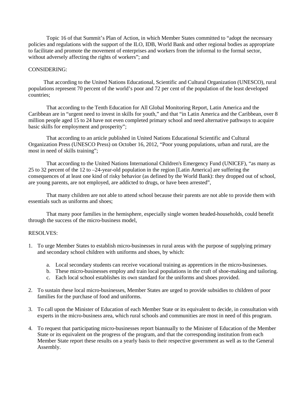Topic 16 of that Summit's Plan of Action, in which Member States committed to "adopt the necessary policies and regulations with the support of the ILO, IDB, World Bank and other regional bodies as appropriate to facilitate and promote the movement of enterprises and workers from the informal to the formal sector, without adversely affecting the rights of workers"; and

# CONSIDERING:

 That according to the United Nations Educational, Scientific and Cultural Organization (UNESCO), rural populations represent 70 percent of the world's poor and 72 per cent of the population of the least developed countries;

That according to the Tenth Education for All Global Monitoring Report, Latin America and the Caribbean are in "urgent need to invest in skills for youth," and that "in Latin America and the Caribbean, over 8 million people aged 15 to 24 have not even completed primary school and need alternative pathways to acquire basic skills for employment and prosperity";

That according to an article published in United Nations Educational Scientific and Cultural Organization Press (UNESCO Press) on October 16, 2012, "Poor young populations, urban and rural, are the most in need of skills training";

That according to the United Nations International Children's Emergency Fund (UNICEF), "as many as 25 to 32 percent of the 12 to –24-year-old population in the region [Latin America] are suffering the consequences of at least one kind of risky behavior (as defined by the World Bank): they dropped out of school, are young parents, are not employed, are addicted to drugs, or have been arrested",

That many children are not able to attend school because their parents are not able to provide them with essentials such as uniforms and shoes;

That many poor families in the hemisphere, especially single women headed-households, could benefit through the success of the micro-business model,

- 1. To urge Member States to establish micro-businesses in rural areas with the purpose of supplying primary and secondary school children with uniforms and shoes, by which:
	- a. Local secondary students can receive vocational training as apprentices in the micro-businesses.
	- b. These micro-businesses employ and train local populations in the craft of shoe-making and tailoring.
	- c. Each local school establishes its own standard for the uniforms and shoes provided.
- 2. To sustain these local micro-businesses, Member States are urged to provide subsidies to children of poor families for the purchase of food and uniforms.
- 3. To call upon the Minister of Education of each Member State or its equivalent to decide, in consultation with experts in the micro-business area, which rural schools and communities are most in need of this program.
- 4. To request that participating micro-businesses report biannually to the Minister of Education of the Member State or its equivalent on the progress of the program, and that the corresponding institution from each Member State report these results on a yearly basis to their respective government as well as to the General Assembly.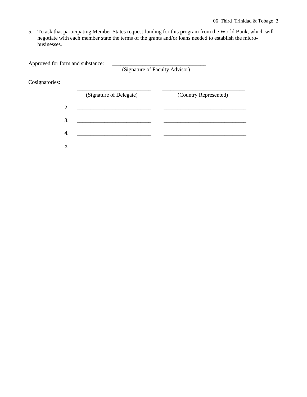5. To ask that participating Member States request funding for this program from the World Bank, which will negotiate with each member state the terms of the grants and/or loans needed to establish the microbusinesses.

| Approved for form and substance: |  |                                                                                                                                                                                                                                                                                                                    |  |  |
|----------------------------------|--|--------------------------------------------------------------------------------------------------------------------------------------------------------------------------------------------------------------------------------------------------------------------------------------------------------------------|--|--|
|                                  |  | $\sqrt{a}$ $\sqrt{a}$ $\sqrt{a}$ $\sqrt{a}$ $\sqrt{a}$ $\sqrt{a}$ $\sqrt{a}$ $\sqrt{a}$ $\sqrt{a}$ $\sqrt{a}$ $\sqrt{a}$ $\sqrt{a}$ $\sqrt{a}$ $\sqrt{a}$ $\sqrt{a}$ $\sqrt{a}$ $\sqrt{a}$ $\sqrt{a}$ $\sqrt{a}$ $\sqrt{a}$ $\sqrt{a}$ $\sqrt{a}$ $\sqrt{a}$ $\sqrt{a}$ $\sqrt{a}$ $\sqrt{a}$ $\sqrt{a}$ $\sqrt{a$ |  |  |

(Signature of Faculty Advisor)

# Cosignatories:

|   | (Signature of Delegate) | (Country Represented) |
|---|-------------------------|-----------------------|
| 2 |                         |                       |
| 3 |                         |                       |
|   |                         |                       |
|   |                         |                       |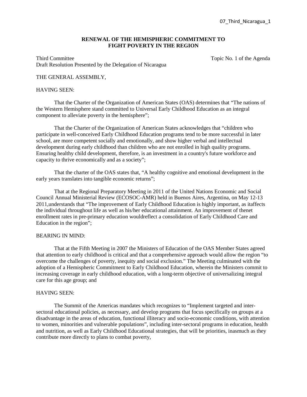# **RENEWAL OF THE HEMISPHERIC COMMITMENT TO FIGHT POVERTY IN THE REGION**

Third Committee Topic No. 1 of the Agenda Draft Resolution Presented by the Delegation of Nicaragua

### THE GENERAL ASSEMBLY,

#### HAVING SEEN:

That the Charter of the Organization of American States (OAS) determines that "The nations of the Western Hemisphere stand committed to Universal Early Childhood Education as an integral component to alleviate poverty in the hemisphere";

That the Charter of the Organization of American States acknowledges that "children who participate in well-conceived Early Childhood Education programs tend to be more successful in later school, are more competent socially and emotionally, and show higher verbal and intellectual development during early childhood than children who are not enrolled in high quality programs. Ensuring healthy child development, therefore, is an investment in a country's future workforce and capacity to thrive economically and as a society";

That the charter of the OAS states that, "A healthy cognitive and emotional development in the early years translates into tangible economic returns";

That at the Regional Preparatory Meeting in 2011 of the United Nations Economic and Social Council Annual Ministerial Review (ECOSOC-AMR) held in Buenos Aires, Argentina, on May 12-13 2011,understands that "The improvement of Early Childhood Education is highly important, as itaffects the individual throughout life as well as his/her educational attainment. An improvement of thenet enrollment rates in pre-primary education wouldreflect a consolidation of Early Childhood Care and Education in the region";

#### BEARING IN MIND:

That at the Fifth Meeting in 2007 the Ministers of Education of the OAS Member States agreed that attention to early childhood is critical and that a comprehensive approach would allow the region "to overcome the challenges of poverty, inequity and social exclusion." The Meeting culminated with the adoption of a Hemispheric Commitment to Early Childhood Education, wherein the Ministers commit to increasing coverage in early childhood education, with a long-term objective of universalizing integral care for this age group; and

#### HAVING SEEN:

The Summit of the Americas mandates which recognizes to "Implement targeted and intersectoral educational policies, as necessary, and develop programs that focus specifically on groups at a disadvantage in the areas of education, functional illiteracy and socio-economic conditions, with attention to women, minorities and vulnerable populations", including inter-sectoral programs in education, health and nutrition, as well as Early Childhood Educational strategies, that will be priorities, inasmuch as they contribute more directly to plans to combat poverty,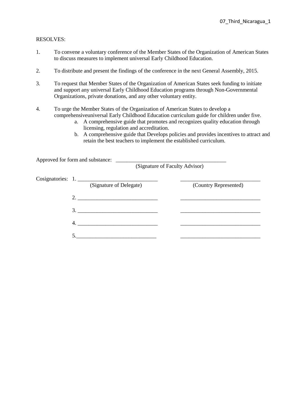- 1. To convene a voluntary conference of the Member States of the Organization of American States to discuss measures to implement universal Early Childhood Education.
- 2. To distribute and present the findings of the conference in the next General Assembly, 2015.
- 3. To request that Member States of the Organization of American States seek funding to initiate and support any universal Early Childhood Education programs through Non-Governmental Organizations, private donations, and any other voluntary entity.
- 4. To urge the Member States of the Organization of American States to develop a comprehensiveuniversal Early Childhood Education curriculum guide for children under five.
	- a. A comprehensive guide that promotes and recognizes quality education through licensing, regulation and accreditation.
	- b. A comprehensive guide that Develops policies and provides incentives to attract and retain the best teachers to implement the established curriculum.

| Approved for form and substance: |                         | (Signature of Faculty Advisor) |
|----------------------------------|-------------------------|--------------------------------|
|                                  |                         |                                |
| Cosignatories: 1.                |                         |                                |
|                                  | (Signature of Delegate) | (Country Represented)          |
| 2.                               |                         |                                |
|                                  |                         |                                |
|                                  |                         |                                |
| 4.                               |                         |                                |
|                                  |                         |                                |
|                                  |                         |                                |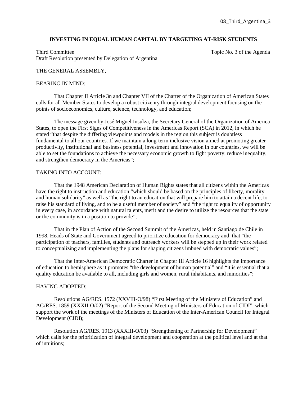#### **INVESTING IN EQUAL HUMAN CAPITAL BY TARGETING AT-RISK STUDENTS**

Third Committee Topic No. 3 of the Agenda Draft Resolution presented by Delegation of Argentina

#### THE GENERAL ASSEMBLY,

#### BEARING IN MIND:

That Chapter II Article 3n and Chapter VII of the Charter of the Organization of American States calls for all Member States to develop a robust citizenry through integral development focusing on the points of socioeconomics, culture, science, technology, and education;

The message given by José Miguel Insulza, the Secretary General of the Organization of America States, to open the First Signs of Competitiveness in the Americas Report (SCA) in 2012, in which he stated "that despite the differing viewpoints and models in the region this subject is doubtless fundamental to all our countries. If we maintain a long-term inclusive vision aimed at promoting greater productivity, institutional and business potential, investment and innovation in our countries, we will be able to set the foundations to achieve the necessary economic growth to fight poverty, reduce inequality, and strengthen democracy in the Americas";

#### TAKING INTO ACCOUNT<sup>.</sup>

That the 1948 American Declaration of Human Rights states that all citizens within the Americas have the right to instruction and education "which should be based on the principles of liberty, morality and human solidarity" as well as "the right to an education that will prepare him to attain a decent life, to raise his standard of living, and to be a useful member of society" and "the right to equality of opportunity in every case, in accordance with natural talents, merit and the desire to utilize the resources that the state or the community is in a position to provide";

That in the Plan of Action of the Second Summit of the Americas, held in Santiago de Chile in 1998, Heads of State and Government agreed to prioritize education for democracy and that "the participation of teachers, families, students and outreach workers will be stepped up in their work related to conceptualizing and implementing the plans for shaping citizens imbued with democratic values";

That the Inter-American Democratic Charter in Chapter III Article 16 highlights the importance of education to hemisphere as it promotes "the development of human potential" and "it is essential that a quality education be available to all, including girls and women, rural inhabitants, and minorities";

#### HAVING ADOPTED:

Resolutions AG/RES. 1572 (XXVIII-O/98) "First Meeting of the Ministers of Education" and AG/RES. 1859 (XXXII-O/02) "Report of the Second Meeting of Ministers of Education of CIDI", which support the work of the meetings of the Ministers of Education of the Inter-American Council for Integral Development (CIDI);

Resolution AG/RES. 1913 (XXXIII-O/03) "Strengthening of Partnership for Development" which calls for the prioritization of integral development and cooperation at the political level and at that of intuitions;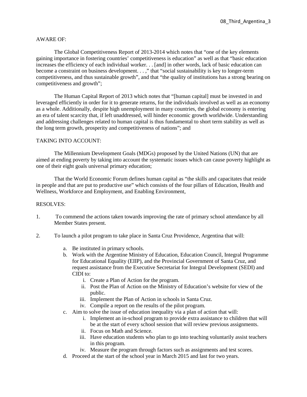# AWARE OF:

The Global Competitiveness Report of 2013-2014 which notes that "one of the key elements gaining importance in fostering countries' competitiveness is education" as well as that "basic education increases the efficiency of each individual worker. . . [and] in other words, lack of basic education can become a constraint on business development. . . ," that "social sustainability is key to longer-term competitiveness, and thus sustainable growth", and that "the quality of institutions has a strong bearing on competitiveness and growth";

The Human Capital Report of 2013 which notes that "[human capital] must be invested in and leveraged efficiently in order for it to generate returns, for the individuals involved as well as an economy as a whole. Additionally, despite high unemployment in many countries, the global economy is entering an era of talent scarcity that, if left unaddressed, will hinder economic growth worldwide. Understanding and addressing challenges related to human capital is thus fundamental to short term stability as well as the long term growth, prosperity and competitiveness of nations"; and

# TAKING INTO ACCOUNT:

The Millennium Development Goals (MDGs) proposed by the United Nations (UN) that are aimed at ending poverty by taking into account the systematic issues which can cause poverty highlight as one of their eight goals universal primary education;

That the World Economic Forum defines human capital as "the skills and capacitates that reside in people and that are put to productive use" which consists of the four pillars of Education, Health and Wellness, Workforce and Employment, and Enabling Environment,

- 1. To commend the actions taken towards improving the rate of primary school attendance by all Member States present.
- 2. To launch a pilot program to take place in Santa Cruz Providence, Argentina that will:
	- a. Be instituted in primary schools.
	- b. Work with the Argentine Ministry of Education, Education Council, Integral Programme for Educational Equality (EIIP), and the Provincial Government of Santa Cruz, and request assistance from the Executive Secretariat for Integral Development (SEDI) and CIDI to:
		- i. Create a Plan of Action for the program.
		- ii. Post the Plan of Action on the Ministry of Education's website for view of the public.
		- iii. Implement the Plan of Action in schools in Santa Cruz.
		- iv. Compile a report on the results of the pilot program.
	- c. Aim to solve the issue of education inequality via a plan of action that will:
		- i. Implement an in-school program to provide extra assistance to children that will be at the start of every school session that will review previous assignments.
		- ii. Focus on Math and Science.
		- iii. Have education students who plan to go into teaching voluntarily assist teachers in this program.
		- iv. Measure the program through factors such as assignments and test scores.
	- d. Proceed at the start of the school year in March 2015 and last for two years.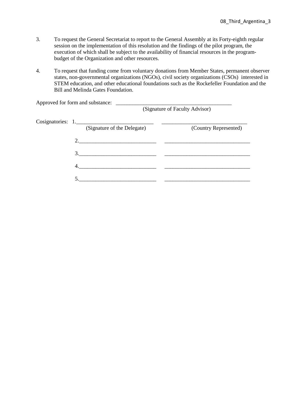- 3. To request the General Secretariat to report to the General Assembly at its Forty-eighth regular session on the implementation of this resolution and the findings of the pilot program, the execution of which shall be subject to the availability of financial resources in the programbudget of the Organization and other resources.
- 4. To request that funding come from voluntary donations from Member States, permanent observer states, non-governmental organizations (NGOs), civil society organizations (CSOs) interested in STEM education, and other educational foundations such as the Rockefeller Foundation and the Bill and Melinda Gates Foundation.

|  | Approved for form and substance: |                             |                                |
|--|----------------------------------|-----------------------------|--------------------------------|
|  |                                  |                             | (Signature of Faculty Advisor) |
|  |                                  |                             |                                |
|  |                                  | (Signature of the Delegate) | (Country Represented)          |
|  | 2.                               |                             |                                |
|  |                                  | 3.                          |                                |
|  | 4.                               |                             |                                |
|  |                                  |                             |                                |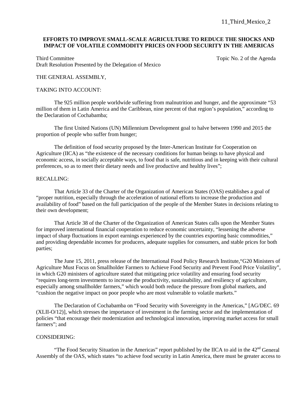# **EFFORTS TO IMPROVE SMALL-SCALE AGRICULTURE TO REDUCE THE SHOCKS AND IMPACT OF VOLATILE COMMODITY PRICES ON FOOD SECURITY IN THE AMERICAS**

Third Committee Topic No. 2 of the Agenda Draft Resolution Presented by the Delegation of Mexico

# THE GENERAL ASSEMBLY,

#### TAKING INTO ACCOUNT:

The 925 million people worldwide suffering from malnutrition and hunger, and the approximate "53 million of them in Latin America and the Caribbean, nine percent of that region's population," according to the Declaration of Cochabamba;

The first United Nations (UN) Millennium Development goal to halve between 1990 and 2015 the proportion of people who suffer from hunger;

The definition of food security proposed by the Inter-American Institute for Cooperation on Agriculture (IICA) as "the existence of the necessary conditions for human beings to have physical and economic access, in socially acceptable ways, to food that is safe, nutritious and in keeping with their cultural preferences, so as to meet their dietary needs and live productive and healthy lives";

#### RECALLING:

That Article 33 of the Charter of the Organization of American States (OAS) establishes a goal of "proper nutrition, especially through the acceleration of national efforts to increase the production and availability of food" based on the full participation of the people of the Member States in decisions relating to their own development;

That Article 38 of the Charter of the Organization of American States calls upon the Member States for improved international financial cooperation to reduce economic uncertainty, "lessening the adverse impact of sharp fluctuations in export earnings experienced by the countries exporting basic commodities," and providing dependable incomes for producers, adequate supplies for consumers, and stable prices for both parties;

The June 15, 2011, press release of the International Food Policy Research Institute,"G20 Ministers of Agriculture Must Focus on Smallholder Farmers to Achieve Food Security and Prevent Food Price Volatility", in which G20 ministers of agriculture stated that mitigating price volatility and ensuring food security "requires long-term investments to increase the productivity, sustainability, and resiliency of agriculture, especially among smallholder farmers," which would both reduce the pressure from global markets, and "cushion the negative impact on poor people who are most vulnerable to volatile markets."

The Declaration of Cochabamba on "Food Security with Sovereignty in the Americas," [AG/DEC. 69 (XLII-O/12)], which stresses the importance of investment in the farming sector and the implementation of policies "that encourage their modernization and technological innovation, improving market access for small farmers"; and

#### CONSIDERING:

"The Food Security Situation in the Americas" report published by the IICA to aid in the  $42<sup>nd</sup>$  General Assembly of the OAS, which states "to achieve food security in Latin America, there must be greater access to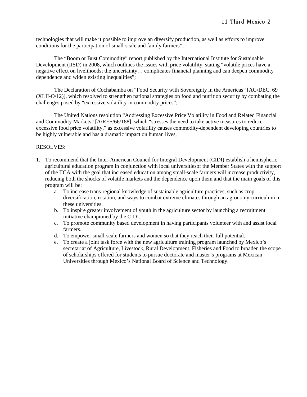technologies that will make it possible to improve an diversify production, as well as efforts to improve conditions for the participation of small-scale and family farmers";

The "Boom or Bust Commodity" report published by the International Institute for Sustainable Development (IISD) in 2008, which outlines the issues with price volatility, stating "volatile prices have a negative effect on livelihoods; the uncertainty… complicates financial planning and can deepen commodity dependence and widen existing inequalities";

The Declaration of Cochabamba on "Food Security with Sovereignty in the Americas" [AG/DEC. 69 (XLII-O/12)], which resolved to strengthen national strategies on food and nutrition security by combating the challenges posed by "excessive volatility in commodity prices";

The United Nations resolution "Addressing Excessive Price Volatility in Food and Related Financial and Commodity Markets" [A/RES/66/188], which "stresses the need to take active measures to reduce excessive food price volatility," as excessive volatility causes commodity-dependent developing countries to be highly vulnerable and has a dramatic impact on human lives,

- 1. To recommend that the Inter-American Council for Integral Development (CIDI) establish a hemispheric agricultural education program in conjunction with local universitiesof the Member States with the support of the IICA with the goal that increased education among small-scale farmers will increase productivity, reducing both the shocks of volatile markets and the dependence upon them and that the main goals of this program will be:
	- a. To increase trans-regional knowledge of sustainable agriculture practices, such as crop diversification, rotation, and ways to combat extreme climates through an agronomy curriculum in these universities.
	- b. To inspire greater involvement of youth in the agriculture sector by launching a recruitment initiative championed by the CIDI.
	- c. To promote community based development in having participants volunteer with and assist local farmers.
	- d. To empower small-scale farmers and women so that they reach their full potential.
	- e. To create a joint task force with the new agriculture training program launched by Mexico's secretariat of Agriculture, Livestock, Rural Development, Fisheries and Food to broaden the scope of scholarships offered for students to pursue doctorate and master's programs at Mexican Universities through Mexico's National Board of Science and Technology.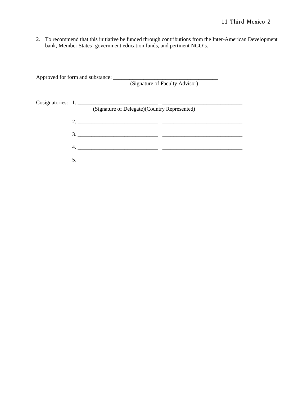2. To recommend that this initiative be funded through contributions from the Inter-American Development bank, Member States' government education funds, and pertinent NGO's.

| (Signature of Faculty Advisor)               |
|----------------------------------------------|
|                                              |
|                                              |
| (Signature of Delegate)(Country Represented) |
|                                              |
|                                              |
|                                              |
|                                              |
| 4.                                           |
|                                              |
|                                              |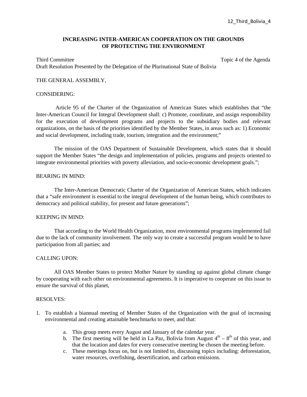# **INCREASING INTER-AMERICAN COOPERATION ON THE GROUNDS OF PROTECTING THE ENVIRONMENT**

Third Committee Topic 4 of the Agenda

Draft Resolution Presented by the Delegation of the Plurinational State of Bolivia

#### THE GENERAL ASSEMBLY,

#### CONSIDERING:

Article 95 of the Charter of the Organization of American States which establishes that "the Inter-American Council for Integral Development shall: c) Promote, coordinate, and assign responsibility for the execution of development programs and projects to the subsidiary bodies and relevant organizations, on the basis of the priorities identified by the Member States, in areas such as: 1) Economic and social development, including trade, tourism, integration and the environment;"

The mission of the OAS Department of Sustainable Development, which states that it should support the Member States "the design and implementation of policies, programs and projects oriented to integrate environmental priorities with poverty alleviation, and socio-economic development goals.";

#### BEARING IN MIND:

The Inter-American Democratic Charter of the Organization of American States, which indicates that a "safe environment is essential to the integral development of the human being, which contributes to democracy and political stability, for present and future generations";

#### KEEPING IN MIND:

That according to the World Health Organization, most environmental programs implemented fail due to the lack of community involvement. The only way to create a successful program would be to have participation from all parties; and

#### CALLING UPON:

All OAS Member States to protect Mother Nature by standing up against global climate change by cooperating with each other on environmental agreements. It is imperative to cooperate on this issue to ensure the survival of this planet,

- 1. To establish a biannual meeting of Member States of the Organization with the goal of increasing environmental and creating attainable benchmarks to meet, and that:
	- a. This group meets every August and January of the calendar year.
	- b. The first meeting will be held in La Paz, Bolivia from August  $4^{th} 8^{th}$  of this year, and that the location and dates for every consecutive meeting be chosen the meeting before.
	- c. These meetings focus on, but is not limited to, discussing topics including: deforestation, water resources, overfishing, desertification, and carbon emissions.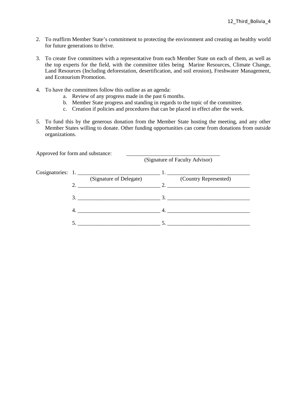- 2. To reaffirm Member State's commitment to protecting the environment and creating an healthy world for future generations to thrive.
- 3. To create five committees with a representative from each Member State on each of them, as well as the top experts for the field, with the committee titles being Marine Resources, Climate Change, Land Resources (Including deforestation, desertification, and soil erosion), Freshwater Management, and Ecotourism Promotion.
- 4. To have the committees follow this outline as an agenda:
	- a. Review of any progress made in the past 6 months.
	- b. Member State progress and standing in regards to the topic of the committee.
	- c. Creation if policies and procedures that can be placed in effect after the week.
- 5. To fund this by the generous donation from the Member State hosting the meeting, and any other Member States willing to donate. Other funding opportunities can come from donations from outside organizations.

| Approved for form and substance: | (Signature of Faculty Advisor) |
|----------------------------------|--------------------------------|
|                                  |                                |
| (Signature of Delegate)          | (Country Represented)          |
|                                  |                                |
| 4.                               | 4.                             |
|                                  | $\sim$ 5.                      |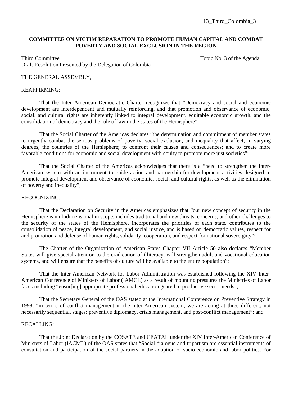13\_Third\_Colombia\_3

### **COMMITTEE ON VICTIM REPARATION TO PROMOTE HUMAN CAPITAL AND COMBAT POVERTY AND SOCIAL EXCLUSION IN THE REGION**

Third Committee Topic No. 3 of the Agenda Draft Resolution Presented by the Delegation of Colombia

#### THE GENERAL ASSEMBLY,

#### REAFFIRMING:

That the Inter American Democratic Charter recognizes that "Democracy and social and economic development are interdependent and mutually reinforcing, and that promotion and observance of economic, social, and cultural rights are inherently linked to integral development, equitable economic growth, and the consolidation of democracy and the rule of law in the states of the Hemisphere";

That the Social Charter of the Americas declares "the determination and commitment of member states to urgently combat the serious problems of poverty, social exclusion, and inequality that affect, in varying degrees, the countries of the Hemisphere; to confront their causes and consequences; and to create more favorable conditions for economic and social development with equity to promote more just societies";

That the Social Charter of the Americas acknowledges that there is a "need to strengthen the inter-American system with an instrument to guide action and partnership-for-development activities designed to promote integral development and observance of economic, social, and cultural rights, as well as the elimination of poverty and inequality";

#### RECOGNIZING:

That the Declaration on Security in the Americas emphasizes that "our new concept of security in the Hemisphere is multidimensional in scope, includes traditional and new threats, concerns, and other challenges to the security of the states of the Hemisphere, incorporates the priorities of each state, contributes to the consolidation of peace, integral development, and social justice, and is based on democratic values, respect for and promotion and defense of human rights, solidarity, cooperation, and respect for national sovereignty";

The Charter of the Organization of American States Chapter VII Article 50 also declares "Member States will give special attention to the eradication of illiteracy, will strengthen adult and vocational education systems, and will ensure that the benefits of culture will be available to the entire population";

That the Inter-American Network for Labor Administration was established following the XIV Inter-American Conference of Ministers of Labor (IAMCL) as a result of mounting pressures the Ministries of Labor faces including "ensur[ing] appropriate professional education geared to productive sector needs";

That the Secretary General of the OAS stated at the International Conference on Preventive Strategy in 1998, "in terms of conflict management in the inter-American system, we are acting at three different, not necessarily sequential, stages: preventive diplomacy, crisis management, and post-conflict management"; and

#### RECALLING:

That the Joint Declaration by the COSATE and CEATAL under the XIV Inter-American Conference of Ministers of Labor (IACML) of the OAS states that "Social dialogue and tripartism are essential instruments of consultation and participation of the social partners in the adoption of socio-economic and labor politics. For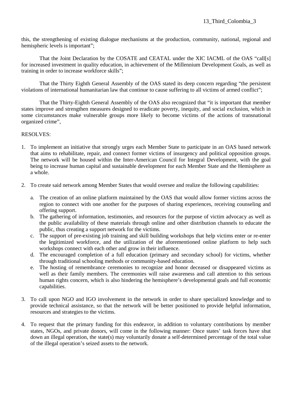this, the strengthening of existing dialogue mechanisms at the production, community, national, regional and hemispheric levels is important";

That the Joint Declaration by the COSATE and CEATAL under the XIC IACML of the OAS "call[s] for increased investment in quality education, in achievement of the Millennium Development Goals, as well as training in order to increase workforce skills";

That the Thirty Eighth General Assembly of the OAS stated its deep concern regarding "the persistent violations of international humanitarian law that continue to cause suffering to all victims of armed conflict";

That the Thirty-Eighth General Assembly of the OAS also recognized that "it is important that member states improve and strengthen measures designed to eradicate poverty, inequity, and social exclusion, which in some circumstances make vulnerable groups more likely to become victims of the actions of transnational organized crime",

- 1. To implement an initiative that strongly urges each Member State to participate in an OAS based network that aims to rehabilitate, repair, and connect former victims of insurgency and political opposition groups. The network will be housed within the Inter-American Council for Integral Development, with the goal being to increase human capital and sustainable development for each Member State and the Hemisphere as a whole.
- 2. To create said network among Member States that would oversee and realize the following capabilities:
	- a. The creation of an online platform maintained by the OAS that would allow former victims across the region to connect with one another for the purposes of sharing experiences, receiving counseling and offering support.
	- b. The gathering of information, testimonies, and resources for the purpose of victim advocacy as well as the public availability of these materials through online and other distribution channels to educate the public, thus creating a support network for the victims.
	- c. The support of pre-existing job training and skill building workshops that help victims enter or re-enter the legitimized workforce, and the utilization of the aforementioned online platform to help such workshops connect with each other and grow in their influence.
	- d. The encouraged completion of a full education (primary and secondary school) for victims, whether through traditional schooling methods or community-based education.
	- e. The hosting of remembrance ceremonies to recognize and honor deceased or disappeared victims as well as their family members. The ceremonies will raise awareness and call attention to this serious human rights concern, which is also hindering the hemisphere's developmental goals and full economic capabilities.
- 3. To call upon NGO and IGO involvement in the network in order to share specialized knowledge and to provide technical assistance, so that the network will be better positioned to provide helpful information, resources and strategies to the victims.
- 4. To request that the primary funding for this endeavor, in addition to voluntary contributions by member states, NGOs, and private donors, will come in the following manner: Once states' task forces have shut down an illegal operation, the state(s) may voluntarily donate a self-determined percentage of the total value of the illegal operation's seized assets to the network.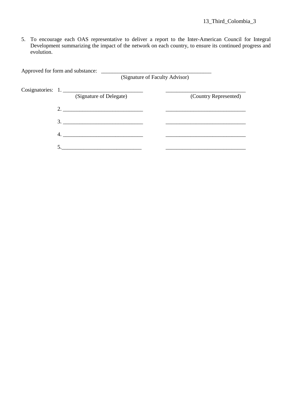5. To encourage each OAS representative to deliver a report to the Inter-American Council for Integral Development summarizing the impact of the network on each country, to ensure its continued progress and evolution.

Approved for form and substance: \_

(Signature of Faculty Advisor)

| Cosignatories: 1.       |                       |
|-------------------------|-----------------------|
| (Signature of Delegate) | (Country Represented) |
|                         |                       |
| 3.                      |                       |
| 4.                      |                       |
|                         |                       |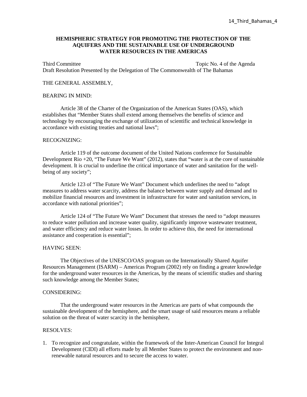# **HEMISPHERIC STRATEGY FOR PROMOTING THE PROTECTION OF THE AQUIFERS AND THE SUSTAINABLE USE OF UNDERGROUND WATER RESOURCES IN THE AMERICAS**

Third Committee Topic No. 4 of the Agenda Draft Resolution Presented by the Delegation of The Commonwealth of The Bahamas

#### THE GENERAL ASSEMBLY,

#### BEARING IN MIND:

Article 38 of the Charter of the Organization of the American States (OAS), which establishes that "Member States shall extend among themselves the benefits of science and technology by encouraging the exchange of utilization of scientific and technical knowledge in accordance with existing treaties and national laws";

#### RECOGNIZING:

Article 119 of the outcome document of the United Nations conference for Sustainable Development Rio +20, "The Future We Want" (2012), states that "water is at the core of sustainable development. It is crucial to underline the critical importance of water and sanitation for the wellbeing of any society";

Article 123 of "The Future We Want" Document which underlines the need to "adopt measures to address water scarcity, address the balance between water supply and demand and to mobilize financial resources and investment in infrastructure for water and sanitation services, in accordance with national priorities";

Article 124 of "The Future We Want" Document that stresses the need to "adopt measures to reduce water pollution and increase water quality, significantly improve wastewater treatment, and water efficiency and reduce water losses. In order to achieve this, the need for international assistance and cooperation is essential";

#### HAVING SEEN:

The Objectives of the UNESCO/OAS program on the Internationally Shared Aquifer Resources Management (ISARM) – Americas Program (2002) rely on finding a greater knowledge for the underground water resources in the Americas, by the means of scientific studies and sharing such knowledge among the Member States;

#### CONSIDERING:

That the underground water resources in the Americas are parts of what compounds the sustainable development of the hemisphere, and the smart usage of said resources means a reliable solution on the threat of water scarcity in the hemisphere,

#### RESOLVES:

1. To recognize and congratulate, within the framework of the Inter-American Council for Integral Development (CIDI) all efforts made by all Member States to protect the environment and nonrenewable natural resources and to secure the access to water.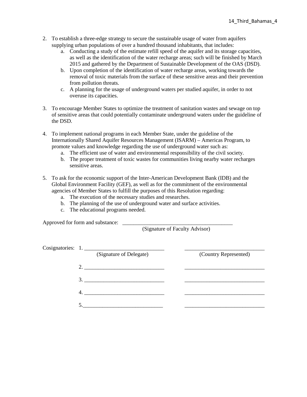- 2. To establish a three-edge strategy to secure the sustainable usage of water from aquifers supplying urban populations of over a hundred thousand inhabitants, that includes:
	- a. Conducting a study of the estimate refill speed of the aquifer and its storage capacities, as well as the identification of the water recharge areas; such will be finished by March 2015 and gathered by the Department of Sustainable Development of the OAS (DSD).
	- b. Upon completion of the identification of water recharge areas, working towards the removal of toxic materials from the surface of these sensitive areas and their prevention from pollution threats.
	- c. A planning for the usage of underground waters per studied aquifer, in order to not overuse its capacities.
- 3. To encourage Member States to optimize the treatment of sanitation wastes and sewage on top of sensitive areas that could potentially contaminate underground waters under the guideline of the DSD.
- 4. To implement national programs in each Member State, under the guideline of the Internationally Shared Aquifer Resources Management (ISARM) – Americas Program, to promote values and knowledge regarding the use of underground water such as:
	- a. The efficient use of water and environmental responsibility of the civil society.
	- b. The proper treatment of toxic wastes for communities living nearby water recharges sensitive areas.
- 5. To ask for the economic support of the Inter-American Development Bank (IDB) and the Global Environment Facility (GEF), as well as for the commitment of the environmental agencies of Member States to fulfill the purposes of this Resolution regarding:
	- a. The execution of the necessary studies and researches.
	- b. The planning of the use of underground water and surface activities.
	- c. The educational programs needed.

Approved for form and substance:  $\Box$ 

(Signature of Faculty Advisor)

| Cosignatories: 1.       |                       |
|-------------------------|-----------------------|
| (Signature of Delegate) | (Country Represented) |
|                         |                       |
|                         |                       |
| 4.                      |                       |
|                         |                       |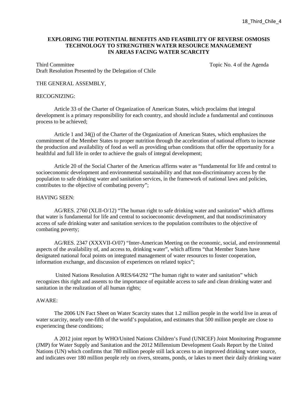# **EXPLORING THE POTENTIAL BENEFITS AND FEASIBILITY OF REVERSE OSMOSIS TECHNOLOGY TO STRENGTHEN WATER RESOURCE MANAGEMENT IN AREAS FACING WATER SCARCITY**

Third Committee Topic No. 4 of the Agenda Draft Resolution Presented by the Delegation of Chile

#### THE GENERAL ASSEMBLY,

#### RECOGNIZING:

Article 33 of the Charter of Organization of American States, which proclaims that integral development is a primary responsibility for each country, and should include a fundamental and continuous process to be achieved;

Article 1 and 34(j) of the Charter of the Organization of American States, which emphasizes the commitment of the Member States to proper nutrition through the acceleration of national efforts to increase the production and availability of food as well as providing urban conditions that offer the opportunity for a healthful and full life in order to achieve the goals of integral development;

Article 20 of the Social Charter of the Americas affirms water as "fundamental for life and central to socioeconomic development and environmental sustainability and that non-discriminatory access by the population to safe drinking water and sanitation services, in the framework of national laws and policies, contributes to the objective of combating poverty";

#### HAVING SEEN:

AG/RES. 2760 (XLII-O/12) "The human right to safe drinking water and sanitation" which affirms that water is fundamental for life and central to socioeconomic development, and that nondiscriminatory access of safe drinking water and sanitation services to the population contributes to the objective of combating poverty;

AG/RES. 2347 (XXXVII-O/07) "Inter-American Meeting on the economic, social, and environmental aspects of the availability of, and access to, drinking water", which affirms "that Member States have designated national focal points on integrated management of water resources to foster cooperation, information exchange, and discussion of experiences on related topics";

 United Nations Resolution A/RES/64/292 "The human right to water and sanitation" which recognizes this right and assents to the importance of equitable access to safe and clean drinking water and sanitation in the realization of all human rights;

#### AWARE:

The 2006 UN Fact Sheet on Water Scarcity states that 1.2 million people in the world live in areas of water scarcity, nearly one-fifth of the world's population, and estimates that 500 million people are close to experiencing these conditions;

A 2012 joint report by WHO/United Nations Children's Fund (UNICEF) Joint Monitoring Programme (JMP) for Water Supply and Sanitation and the 2012 Millennium Development Goals Report by the United Nations (UN) which confirms that 780 million people still lack access to an improved drinking water source, and indicates over 180 million people rely on rivers, streams, ponds, or lakes to meet their daily drinking water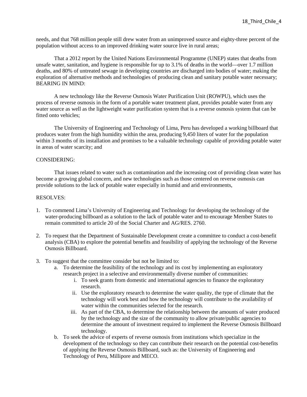needs, and that 768 million people still drew water from an unimproved source and eighty-three percent of the population without access to an improved drinking water source live in rural areas;

That a 2012 report by the United Nations Environmental Programme (UNEP) states that deaths from unsafe water, sanitation, and hygiene is responsible for up to 3.1% of deaths in the world—over 1.7 million deaths, and 80% of untreated sewage in developing countries are discharged into bodies of water; making the exploration of alternative methods and technologies of producing clean and sanitary potable water necessary; BEARING IN MIND:

A new technology like the Reverse Osmosis Water Purification Unit (ROWPU), which uses the process of reverse osmosis in the form of a portable water treatment plant, provides potable water from any water source as well as the lightweight water purification system that is a reverse osmosis system that can be fitted onto vehicles;

The University of Engineering and Technology of Lima, Peru has developed a working billboard that produces water from the high humidity within the area, producing 9,450 liters of water for the population within 3 months of its installation and promises to be a valuable technology capable of providing potable water in areas of water scarcity; and

# CONSIDERING:

That issues related to water such as contamination and the increasing cost of providing clean water has become a growing global concern, and new technologies such as those centered on reverse osmosis can provide solutions to the lack of potable water especially in humid and arid environments,

- 1. To commend Lima's University of Engineering and Technology for developing the technology of the water-producing billboard as a solution to the lack of potable water and to encourage Member States to remain committed to article 20 of the Social Charter and AG/RES. 2760.
- 2. To request that the Department of Sustainable Development create a committee to conduct a cost-benefit analysis (CBA) to explore the potential benefits and feasibility of applying the technology of the Reverse Osmosis Billboard.
- 3. To suggest that the committee consider but not be limited to:
	- a. To determine the feasibility of the technology and its cost by implementing an exploratory research project in a selective and environmentally diverse number of communities:
		- i. To seek grants from domestic and international agencies to finance the exploratory research.
		- ii. Use the exploratory research to determine the water quality, the type of climate that the technology will work best and how the technology will contribute to the availability of water within the communities selected for the research.
		- iii. As part of the CBA, to determine the relationship between the amounts of water produced by the technology and the size of the community to allow private/public agencies to determine the amount of investment required to implement the Reverse Osmosis Billboard technology.
	- b. To seek the advice of experts of reverse osmosis from institutions which specialize in the development of the technology so they can contribute their research on the potential cost-benefits of applying the Reverse Osmosis Billboard, such as: the University of Engineering and Technology of Peru, Millipore and MECO.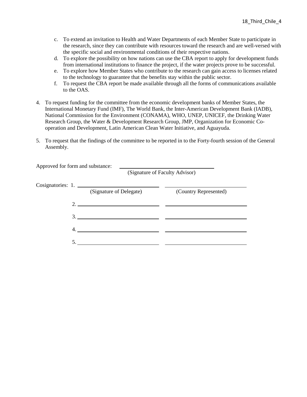- c. To extend an invitation to Health and Water Departments of each Member State to participate in the research, since they can contribute with resources toward the research and are well-versed with the specific social and environmental conditions of their respective nations.
- d. To explore the possibility on how nations can use the CBA report to apply for development funds from international institutions to finance the project, if the water projects prove to be successful.
- e. To explore how Member States who contribute to the research can gain access to licenses related to the technology to guarantee that the benefits stay within the public sector.
- f. To request the CBA report be made available through all the forms of communications available to the OAS.
- 4. To request funding for the committee from the economic development banks of Member States, the International Monetary Fund (IMF), The World Bank, the Inter-American Development Bank (IADB), National Commission for the Environment (CONAMA), WHO, UNEP, UNICEF, the Drinking Water Research Group, the Water & Development Research Group, JMP, Organization for Economic Cooperation and Development, Latin American Clean Water Initiative, and Aguayuda.
- 5. To request that the findings of the committee to be reported in to the Forty-fourth session of the General Assembly.

| Approved for form and substance: |                                                                                                                                                                                                                                                                                                                                                                                                                                                                          | (Signature of Faculty Advisor) |
|----------------------------------|--------------------------------------------------------------------------------------------------------------------------------------------------------------------------------------------------------------------------------------------------------------------------------------------------------------------------------------------------------------------------------------------------------------------------------------------------------------------------|--------------------------------|
|                                  | Cosignatories: 1.<br>(Signature of Delegate)                                                                                                                                                                                                                                                                                                                                                                                                                             | (Country Represented)          |
|                                  | 2. $\overline{\phantom{a}}$ $\overline{\phantom{a}}$ $\overline{\phantom{a}}$ $\overline{\phantom{a}}$ $\overline{\phantom{a}}$ $\overline{\phantom{a}}$ $\overline{\phantom{a}}$ $\overline{\phantom{a}}$ $\overline{\phantom{a}}$ $\overline{\phantom{a}}$ $\overline{\phantom{a}}$ $\overline{\phantom{a}}$ $\overline{\phantom{a}}$ $\overline{\phantom{a}}$ $\overline{\phantom{a}}$ $\overline{\phantom{a}}$ $\overline{\phantom{a}}$ $\overline{\phantom{a}}$ $\$ |                                |
|                                  |                                                                                                                                                                                                                                                                                                                                                                                                                                                                          |                                |
| 4.                               |                                                                                                                                                                                                                                                                                                                                                                                                                                                                          |                                |
|                                  |                                                                                                                                                                                                                                                                                                                                                                                                                                                                          |                                |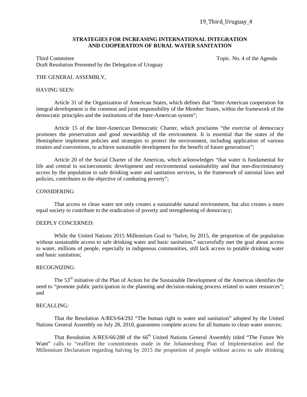#### **STRATEGIES FOR INCREASING INTERNATIONAL INTEGRATION AND COOPERATION OF RURAL WATER SANITATION**

Third Committee Topic. No. 4 of the Agenda Draft Resolution Presented by the Delegation of Uruguay

#### THE GENERAL ASSEMBLY,

#### HAVING SEEN:

Article 31 of the Organization of American States, which defines that "Inter-American cooperation for integral development is the common and joint responsibility of the Member States, within the framework of the democratic principles and the institutions of the Inter-American system";

Article 15 of the Inter-American Democratic Charter, which proclaims "the exercise of democracy promotes the preservation and good stewardship of the environment. It is essential that the states of the Hemisphere implement policies and strategies to protect the environment, including application of various treaties and conventions, to achieve sustainable development for the benefit of future generations";

Article 20 of the Social Charter of the Americas, which acknowledges "that water is fundamental for life and central to socioeconomic development and environmental sustainability and that non-discriminatory access by the population to safe drinking water and sanitation services, in the framework of national laws and policies, contributes to the objective of combating poverty";

#### CONSIDERING:

That access to clean water not only creates a sustainable natural environment, but also creates a more equal society to contribute to the eradication of poverty and strengthening of democracy;

#### DEEPLY CONCERNED:

While the United Nations 2015 Millennium Goal to "halve, by 2015, the proportion of the population without sustainable access to safe drinking water and basic sanitation," successfully met the goal about access to water, millions of people, especially in indigenous communities, still lack access to potable drinking water and basic sanitation;

#### RECOGNIZING:

The 53rd initiative of the Plan of Action for the Sustainable Development of the Americas identifies the need to "promote public participation in the planning and decision-making process related to water resources"; and

# RECALLING:

That the Resolution A/RES/64/292 "The human right to water and sanitation" adopted by the United Nations General Assembly on July 28, 2010, guarantees complete access for all humans to clean water sources;

That Resolution A/RES/66/288 of the 66<sup>th</sup> United Nations General Assembly titled "The Future We Want" calls to "reaffirm the commitments made in the Johannesburg Plan of Implementation and the Millennium Declaration regarding halving by 2015 the proportion of people without access to safe drinking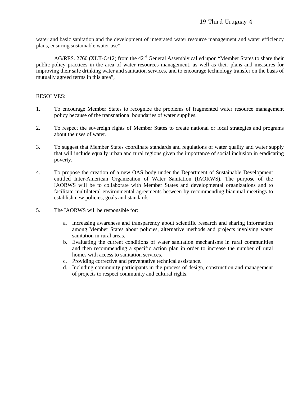water and basic sanitation and the development of integrated water resource management and water efficiency plans, ensuring sustainable water use";

AG/RES. 2760 (XLII-O/12) from the 42<sup>nd</sup> General Assembly called upon "Member States to share their public-policy practices in the area of water resources management, as well as their plans and measures for improving their safe drinking water and sanitation services, and to encourage technology transfer on the basis of mutually agreed terms in this area",

- 1. To encourage Member States to recognize the problems of fragmented water resource management policy because of the transnational boundaries of water supplies.
- 2. To respect the sovereign rights of Member States to create national or local strategies and programs about the uses of water.
- 3. To suggest that Member States coordinate standards and regulations of water quality and water supply that will include equally urban and rural regions given the importance of social inclusion in eradicating poverty.
- 4. To propose the creation of a new OAS body under the Department of Sustainable Development entitled Inter-American Organization of Water Sanitation (IAORWS). The purpose of the IAORWS will be to collaborate with Member States and developmental organizations and to facilitate multilateral environmental agreements between by recommending biannual meetings to establish new policies, goals and standards.
- 5. The IAORWS will be responsible for:
	- a. Increasing awareness and transparency about scientific research and sharing information among Member States about policies, alternative methods and projects involving water sanitation in rural areas.
	- b. Evaluating the current conditions of water sanitation mechanisms in rural communities and then recommending a specific action plan in order to increase the number of rural homes with access to sanitation services.
	- c. Providing corrective and preventative technical assistance.
	- d. Including community participants in the process of design, construction and management of projects to respect community and cultural rights.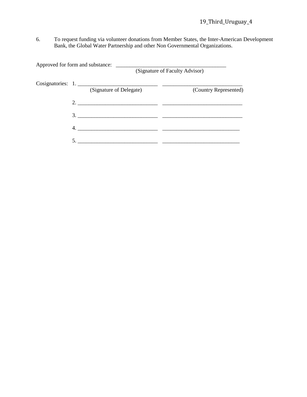# 19\_Third\_Uruguay\_4

6. To request funding via volunteer donations from Member States, the Inter-American Development Bank, the Global Water Partnership and other Non Governmental Organizations.

|  |                                              | (Signature of Faculty Advisor) |
|--|----------------------------------------------|--------------------------------|
|  | Cosignatories: 1.<br>(Signature of Delegate) | (Country Represented)          |
|  |                                              |                                |
|  | 3.                                           |                                |
|  | 4.                                           |                                |
|  |                                              |                                |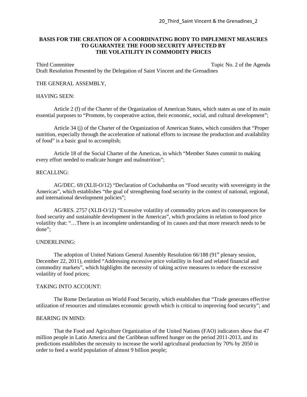# **BASIS FOR THE CREATION OF A COORDINATING BODY TO IMPLEMENT MEASURES TO GUARANTEE THE FOOD SECURITY AFFECTED BY THE VOLATILITY IN COMMODITY PRICES**

Third Committee Topic No. 2 of the Agenda Draft Resolution Presented by the Delegation of Saint Vincent and the Grenadines

#### THE GENERAL ASSEMBLY,

# HAVING SEEN:

Article 2 (f) of the Charter of the Organization of American States, which states as one of its main essential purposes to "Promote, by cooperative action, their economic, social, and cultural development";

Article 34 (j) of the Charter of the Organization of American States, which considers that "Proper nutrition, especially through the acceleration of national efforts to increase the production and availability of food" is a basic goal to accomplish;

Article 18 of the Social Charter of the Americas, in which "Member States commit to making every effort needed to eradicate hunger and malnutrition";

#### RECALLING:

AG/DEC. 69 (XLII-O/12) "Declaration of Cochabamba on "Food security with sovereignty in the Americas", which establishes "the goal of strengthening food security in the context of national, regional, and international development policies";

AG/RES. 2757 (XLII-O/12) "Excessive volatility of commodity prices and its consequences for food security and sustainable development in the Americas", which proclaims in relation to food price volatility that: "…There is an incomplete understanding of its causes and that more research needs to be done";

#### UNDERLINING:

The adoption of United Nations General Assembly Resolution  $66/188$  (91<sup>st</sup> plenary session, December 22, 2011), entitled "Addressing excessive price volatility in food and related financial and commodity markets", which highlights the necessity of taking active measures to reduce the excessive volatility of food prices;

#### TAKING INTO ACCOUNT:

The Rome Declaration on World Food Security, which establishes that "Trade generates effective utilization of resources and stimulates economic growth which is critical to improving food security"; and

#### BEARING IN MIND:

That the Food and Agriculture Organization of the United Nations (FAO) indicators show that 47 million people in Latin America and the Caribbean suffered hunger on the period 2011-2013, and its predictions establishes the necessity to increase the world agricultural production by 70% by 2050 in order to feed a world population of almost 9 billion people;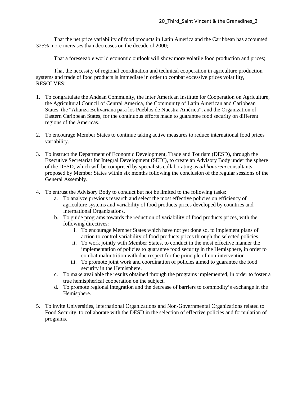That the net price variability of food products in Latin America and the Caribbean has accounted 325% more increases than decreases on the decade of 2000;

That a foreseeable world economic outlook will show more volatile food production and prices;

That the necessity of regional coordination and technical cooperation in agriculture production systems and trade of food products is immediate in order to combat excessive prices volatility, RESOLVES:

- 1. To congratulate the Andean Community, the Inter American Institute for Cooperation on Agriculture, the Agricultural Council of Central America, the Community of Latin American and Caribbean States, the "Alianza Bolivariana para los Pueblos de Nuestra América", and the Organization of Eastern Caribbean States, for the continuous efforts made to guarantee food security on different regions of the Americas.
- 2. To encourage Member States to continue taking active measures to reduce international food prices variability.
- 3. To instruct the Department of Economic Development, Trade and Tourism (DESD), through the Executive Secretariat for Integral Development (SEDI), to create an Advisory Body under the sphere of the DESD, which will be comprised by specialists collaborating as *ad honorem* consultants proposed by Member States within six months following the conclusion of the regular sessions of the General Assembly.
- 4. To entrust the Advisory Body to conduct but not be limited to the following tasks:
	- a. To analyze previous research and select the most effective policies on efficiency of agriculture systems and variability of food products prices developed by countries and International Organizations.
	- b. To guide programs towards the reduction of variability of food products prices, with the following directives:
		- i. To encourage Member States which have not yet done so, to implement plans of action to control variability of food products prices through the selected policies.
		- ii. To work jointly with Member States, to conduct in the most effective manner the implementation of policies to guarantee food security in the Hemisphere, in order to combat malnutrition with due respect for the principle of non-intervention.
		- iii. To promote joint work and coordination of policies aimed to guarantee the food security in the Hemisphere.
	- c. To make available the results obtained through the programs implemented, in order to foster a true hemispherical cooperation on the subject.
	- d. To promote regional integration and the decrease of barriers to commodity's exchange in the Hemisphere.
- 5. To invite Universities, International Organizations and Non-Governmental Organizations related to Food Security, to collaborate with the DESD in the selection of effective policies and formulation of programs.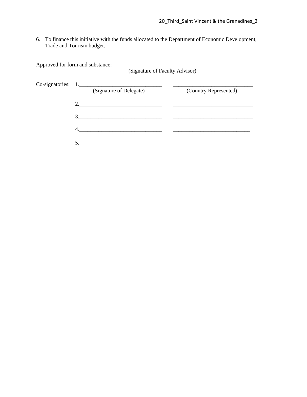6. To finance this initiative with the funds allocated to the Department of Economic Development, Trade and Tourism budget.

|                                                 | (Signature of Faculty Advisor) |  |  |
|-------------------------------------------------|--------------------------------|--|--|
| $Co-signatories: 1.$<br>(Signature of Delegate) | (Country Represented)          |  |  |
| 2. $\qquad \qquad$                              |                                |  |  |
| 3.                                              |                                |  |  |
|                                                 |                                |  |  |
|                                                 |                                |  |  |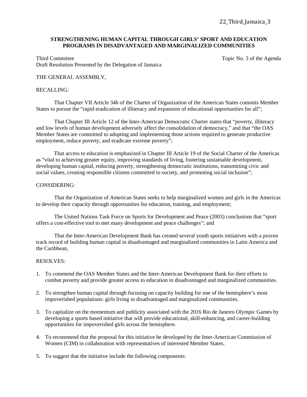# **STRENGTHENING HUMAN CAPITAL THROUGH GIRLS' SPORT AND EDUCATION PROGRAMS IN DISADVANTAGED AND MARGINALIZED COMMUNITIES**

Third Committee Topic No. 3 of the Agenda Draft Resolution Presented by the Delegation of Jamaica

# THE GENERAL ASSEMBLY,

#### RECALLING:

That Chapter VII Article 34h of the Charter of Organization of the American States commits Member States to pursue the "rapid eradication of illiteracy and expansion of educational opportunities for all";

That Chapter III Article 12 of the Inter-American Democratic Charter states that "poverty, illiteracy and low levels of human development adversely affect the consolidation of democracy," and that "the OAS Member States are committed to adopting and implementing those actions required to generate productive employment, reduce poverty, and eradicate extreme poverty";

 That access to education is emphasized in Chapter III Article 19 of the Social Charter of the Americas as "vital to achieving greater equity, improving standards of living, fostering sustainable development, developing human capital, reducing poverty, strengthening democratic institutions, transmitting civic and social values, creating responsible citizens committed to society, and promoting social inclusion";

#### CONSIDERING:

That the Organization of American States seeks to help marginalized women and girls in the Americas to develop their capacity through opportunities for education, training, and employment;

The United Nations Task Force on Sports for Development and Peace (2003) conclusions that "sport offers a cost-effective tool to met many development and peace challenges"; and

That the Inter-American Development Bank has created several youth sports initiatives with a proven track record of building human capital in disadvantaged and marginalized communities in Latin America and the Caribbean,

- 1. To commend the OAS Member States and the Inter-American Development Bank for their efforts to combat poverty and provide greater access to education in disadvantaged and marginalized communities.
- 2. To strengthen human capital through focusing on capacity building for one of the hemisphere's most impoverished populations: girls living in disadvantaged and marginalized communities.
- 3. To capitalize on the momentum and publicity associated with the 2016 Rio de Janeiro Olympic Games by developing a sports based initiative that will provide educational, skill-enhancing, and career-building opportunities for impoverished girls across the hemisphere.
- 4. To recommend that the proposal for this initiative be developed by the Inter-American Commission of Women (CIM) in collaboration with representatives of interested Member States.
- 5. To suggest that the initiative include the following components: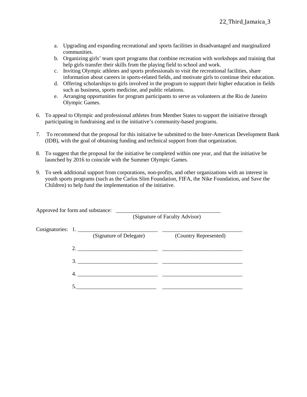- a. Upgrading and expanding recreational and sports facilities in disadvantaged and marginalized communities.
- b. Organizing girls' team sport programs that combine recreation with workshops and training that help girls transfer their skills from the playing field to school and work.
- c. Inviting Olympic athletes and sports professionals to visit the recreational facilities, share information about careers in sports-related fields, and motivate girls to continue their education.
- d. Offering scholarships to girls involved in the program to support their higher education in fields such as business, sports medicine, and public relations.
- e. Arranging opportunities for program participants to serve as volunteers at the Rio de Janeiro Olympic Games.
- 6. To appeal to Olympic and professional athletes from Member States to support the initiative through participating in fundraising and in the initiative's community-based programs.
- 7. To recommend that the proposal for this initiative be submitted to the Inter-American Development Bank (IDB), with the goal of obtaining funding and technical support from that organization.
- 8. To suggest that the proposal for the initiative be completed within one year, and that the initiative be launched by 2016 to coincide with the Summer Olympic Games.
- 9. To seek additional support from corporations, non-profits, and other organizations with an interest in youth sports programs (such as the Carlos Slim Foundation, FIFA, the Nike Foundation, and Save the Children) to help fund the implementation of the initiative.

| Approved for form and substance: |                         | (Signature of Faculty Advisor) |  |
|----------------------------------|-------------------------|--------------------------------|--|
| Cosignatories: 1.                | (Signature of Delegate) | (Country Represented)          |  |
|                                  |                         |                                |  |
|                                  | 3.                      |                                |  |
| 4.                               |                         |                                |  |
|                                  |                         |                                |  |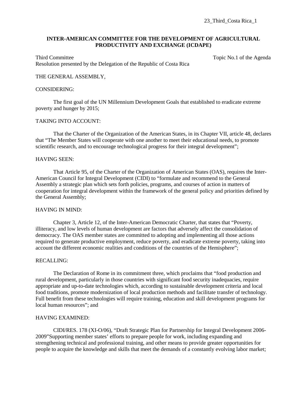# **INTER-AMERICAN COMMITTEE FOR THE DEVELOPMENT OF AGRICULTURAL PRODUCTIVITY AND EXCHANGE (ICDAPE)**

Third Committee Topic No.1 of the Agenda Resolution presented by the Delegation of the Republic of Costa Rica

#### THE GENERAL ASSEMBLY,

### CONSIDERING:

The first goal of the UN Millennium Development Goals that established to eradicate extreme poverty and hunger by 2015;

#### TAKING INTO ACCOUNT:

That the Charter of the Organization of the American States, in its Chapter VII, article 48, declares that "The Member States will cooperate with one another to meet their educational needs, to promote scientific research, and to encourage technological progress for their integral development";

#### HAVING SEEN:

That Article 95, of the Charter of the Organization of American States (OAS), requires the Inter-American Council for Integral Development (CIDI) to "formulate and recommend to the General Assembly a strategic plan which sets forth policies, programs, and courses of action in matters of cooperation for integral development within the framework of the general policy and priorities defined by the General Assembly;

# HAVING IN MIND:

Chapter 3, Article 12, of the Inter-American Democratic Charter, that states that "Poverty, illiteracy, and low levels of human development are factors that adversely affect the consolidation of democracy. The OAS member states are committed to adopting and implementing all those actions required to generate productive employment, reduce poverty, and eradicate extreme poverty, taking into account the different economic realities and conditions of the countries of the Hemisphere";

#### RECALLING:

The Declaration of Rome in its commitment three, which proclaims that "food production and rural development, particularly in those countries with significant food security inadequacies, require appropriate and up-to-date technologies which, according to sustainable development criteria and local food traditions, promote modernization of local production methods and facilitate transfer of technology. Full benefit from these technologies will require training, education and skill development programs for local human resources"; and

# HAVING EXAMINED:

CIDI/RES. 178 (XI-O/06), "Draft Strategic Plan for Partnership for Integral Development 2006- 2009"Supporting member states' efforts to prepare people for work, including expanding and strengthening technical and professional training, and other means to provide greater opportunities for people to acquire the knowledge and skills that meet the demands of a constantly evolving labor market;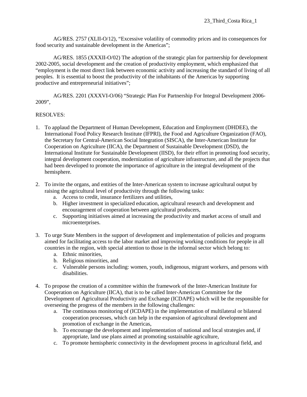AG/RES. 2757 (XLII-O/12), "Excessive volatility of commodity prices and its consequences for food security and sustainable development in the Americas";

AG/RES. 1855 (XXXII-O/02) The adoption of the strategic plan for partnership for development 2002-2005, social development and the creation of productivity employment, which emphasized that "employment is the most direct link between economic activity and increasing the standard of living of all peoples. It is essential to boost the productivity of the inhabitants of the Americas by supporting productive and entrepreneurial initiatives";

AG/RES. 2201 (XXXVI-O/06) "Strategic Plan For Partnership For Integral Development 2006- 2009",

- 1. To applaud the Department of Human Development, Education and Employment (DHDEE), the International Food Policy Research Institute (IFPRI), the Food and Agriculture Organization (FAO), the Secretary for Central-American Social Integration (SISCA), the Inter-American Institute for Cooperation on Agriculture (IICA), the Department of Sustainable Development (DSD), the International Institute for Sustainable Development (IISD), for their effort in promoting food security, integral development cooperation, modernization of agriculture infrastructure, and all the projects that had been developed to promote the importance of agriculture in the integral development of the hemisphere.
- 2. To invite the organs, and entities of the Inter-American system to increase agricultural output by raising the agricultural level of productivity through the following tasks:
	- a. Access to credit, insurance fertilizers and utilities,
	- b. Higher investment in specialized education, agricultural research and development and encouragement of cooperation between agricultural producers,
	- c. Supporting initiatives aimed at increasing the productivity and market access of small and microenterprises.
- 3. To urge State Members in the support of development and implementation of policies and programs aimed for facilitating access to the labor market and improving working conditions for people in all countries in the region, with special attention to those in the informal sector which belong to:
	- a. Ethnic minorities,
	- b. Religious minorities, and
	- c. Vulnerable persons including: women, youth, indigenous, migrant workers, and persons with disabilities.
- 4. To propose the creation of a committee within the framework of the Inter-American Institute for Cooperation on Agriculture (IICA), that is to be called Inter-American Committee for the Development of Agricultural Productivity and Exchange (ICDAPE) which will be the responsible for overseeing the progress of the members in the following challenges:
	- a. The continuous monitoring of (ICDAPE) in the implementation of multilateral or bilateral cooperation processes, which can help in the expansion of agricultural development and promotion of exchange in the Americas,
	- b. To encourage the development and implementation of national and local strategies and, if appropriate, land use plans aimed at promoting sustainable agriculture,
	- c. To promote hemispheric connectivity in the development process in agricultural field, and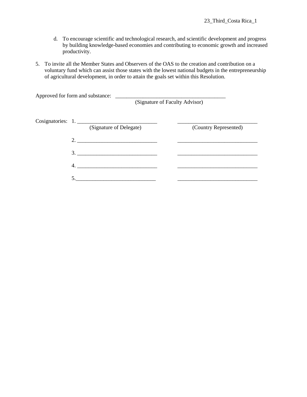- d. To encourage scientific and technological research, and scientific development and progress by building knowledge-based economies and contributing to economic growth and increased productivity.
- 5. To invite all the Member States and Observers of the OAS to the creation and contribution on a voluntary fund which can assist those states with the lowest national budgets in the entrepreneurship of agricultural development, in order to attain the goals set within this Resolution.

| Approved for form and substance:             | (Signature of Faculty Advisor) |
|----------------------------------------------|--------------------------------|
| Cosignatories: 1.<br>(Signature of Delegate) | (Country Represented)          |
| 2.                                           |                                |
| 3.                                           |                                |
| 4.                                           |                                |
| 5                                            |                                |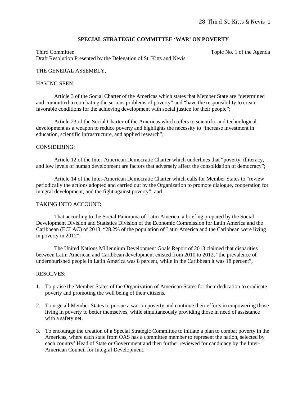# **SPECIAL STRATEGIC COMMITTEE 'WAR' ON POVERTY**

Third Committee Topic No. 1 of the Agenda Topic No. 1 of the Agenda Draft Resolution Presented by the Delegation of St. Kitts and Nevis

#### THE GENERAL ASSEMBLY,

#### HAVING SEEN:

Article 3 of the Social Charter of the Americas which states that Member State are "determined and committed to combating the serious problems of poverty" and "have the responsibility to create favorable conditions for the achieving development with social justice for their people";

Article 23 of the Social Charter of the Americas which refers to scientific and technological development as a weapon to reduce poverty and highlights the necessity to "increase investment in education, scientific infrastructure, and applied research";

#### CONSIDERING:

Article 12 of the Inter-American Democratic Charter which underlines that "poverty, illiteracy, and low levels of human development are factors that adversely affect the consolidation of democracy";

Article 14 of the Inter-American Democratic Charter which calls for Member States to "review periodically the actions adopted and carried out by the Organization to promote dialogue, cooperation for integral development, and the fight against poverty"; and

#### TAKING INTO ACCOUNT:

That according to the Social Panorama of Latin America, a briefing prepared by the Social Development Division and Statistics Division of the Economic Commission for Latin America and the Caribbean (ECLAC) of 2013, "28.2% of the population of Latin America and the Caribbean were living in poverty in 2012";

The United Nations Millennium Development Goals Report of 2013 claimed that disparities between Latin American and Caribbean development existed from 2010 to 2012, "the prevalence of undernourished people in Latin America was 8 percent, while in the Caribbean it was 18 percent",

- 1. To praise the Member States of the Organization of American States for their dedication to eradicate poverty and promoting the well being of their citizens.
- 2. To urge all Member States to pursue a war on poverty and continue their efforts in empowering those living in poverty to better themselves, while simultaneously providing those in need of assistance with a safety net.
- 3. To encourage the creation of a Special Strategic Committee to initiate a plan to combat poverty in the Americas, where each state from OAS has a committee member to represent the nation, selected by each country' Head of State or Government and then further reviewed for candidacy by the Inter-American Council for Integral Development.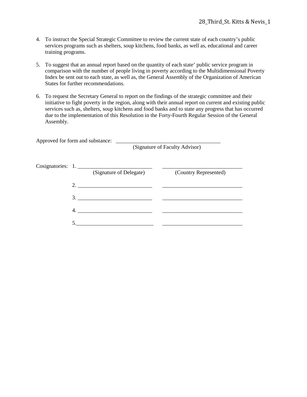- 4. To instruct the Special Strategic Committee to review the current state of each country's public services programs such as shelters, soup kitchens, food banks, as well as, educational and career training programs.
- 5. To suggest that an annual report based on the quantity of each state' public service program in comparison with the number of people living in poverty according to the Multidimensional Poverty Index be sent out to each state, as well as, the General Assembly of the Organization of American States for further recommendations.
- 6. To request the Secretary General to report on the findings of the strategic committee and their initiative to fight poverty in the region, along with their annual report on current and existing public services such as, shelters, soup kitchens and food banks and to state any progress that has occurred due to the implementation of this Resolution in the Forty-Fourth Regular Session of the General Assembly.

Approved for form and substance: \_\_\_\_\_\_\_\_\_\_\_\_\_\_\_\_\_\_\_\_\_\_\_\_\_\_\_\_\_\_\_\_\_\_\_\_\_\_

(Signature of Faculty Advisor)

|  | Cosignatories: 1.       |                       |
|--|-------------------------|-----------------------|
|  | (Signature of Delegate) | (Country Represented) |
|  |                         |                       |
|  |                         |                       |
|  | 4.                      |                       |
|  |                         |                       |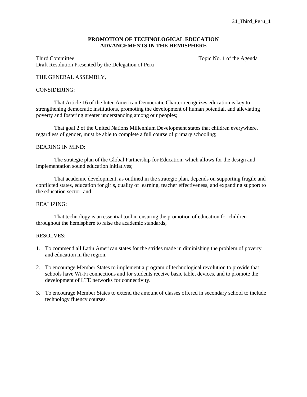# **PROMOTION OF TECHNOLOGICAL EDUCATION ADVANCEMENTS IN THE HEMISPHERE**

Third Committee Topic No. 1 of the Agenda Draft Resolution Presented by the Delegation of Peru

### THE GENERAL ASSEMBLY,

#### CONSIDERING:

That Article 16 of the Inter-American Democratic Charter recognizes education is key to strengthening democratic institutions, promoting the development of human potential, and alleviating poverty and fostering greater understanding among our peoples;

That goal 2 of the United Nations Millennium Development states that children everywhere, regardless of gender, must be able to complete a full course of primary schooling;

#### BEARING IN MIND:

The strategic plan of the Global Partnership for Education, which allows for the design and implementation sound education initiatives;

That academic development, as outlined in the strategic plan, depends on supporting fragile and conflicted states, education for girls, quality of learning, teacher effectiveness, and expanding support to the education sector; and

#### REALIZING:

That technology is an essential tool in ensuring the promotion of education for children throughout the hemisphere to raise the academic standards,

- 1. To commend all Latin American states for the strides made in diminishing the problem of poverty and education in the region.
- 2. To encourage Member States to implement a program of technological revolution to provide that schools have Wi-Fi connections and for students receive basic tablet devices, and to promote the development of LTE networks for connectivity.
- 3. To encourage Member States to extend the amount of classes offered in secondary school to include technology fluency courses.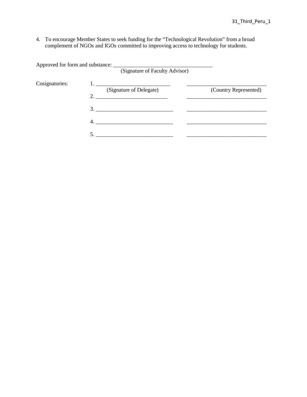4. To encourage Member States to seek funding for the "Technological Revolution" from a broad complement of NGOs and IGOs committed to improving access to technology for students.

Approved for form and substance: \_\_\_\_\_\_\_\_\_\_\_\_\_\_\_\_\_\_\_\_\_\_\_\_\_\_\_\_\_\_\_\_\_\_\_\_ (Signature of Faculty Advisor) Cosignatories: 1. \_\_\_\_\_\_\_\_\_\_\_\_\_\_\_\_\_\_\_\_\_\_\_\_\_\_\_ \_\_\_\_\_\_\_\_\_\_\_\_\_\_\_\_\_\_\_\_\_\_\_\_\_\_\_\_\_ (Signature of Delegate) 2. \_\_\_\_\_\_\_\_\_\_\_\_\_\_\_\_\_\_\_\_\_\_\_\_\_\_ \_\_\_\_\_\_\_\_\_\_\_\_\_\_\_\_\_\_\_\_\_\_\_\_\_\_\_\_\_ 3. \_\_\_\_\_\_\_\_\_\_\_\_\_\_\_\_\_\_\_\_\_\_\_\_\_\_\_\_ \_\_\_\_\_\_\_\_\_\_\_\_\_\_\_\_\_\_\_\_\_\_\_\_\_\_\_\_\_  $4.$ 5. \_\_\_\_\_\_\_\_\_\_\_\_\_\_\_\_\_\_\_\_\_\_\_\_\_\_\_\_ \_\_\_\_\_\_\_\_\_\_\_\_\_\_\_\_\_\_\_\_\_\_\_\_\_\_\_\_\_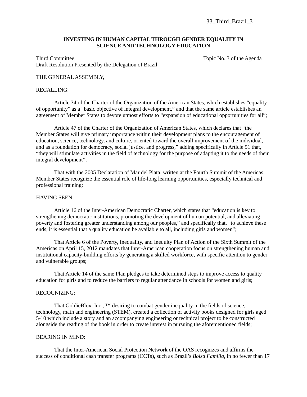#### **INVESTING IN HUMAN CAPITAL THROUGH GENDER EQUALITY IN SCIENCE AND TECHNOLOGY EDUCATION**

Third Committee Topic No. 3 of the Agenda Draft Resolution Presented by the Delegation of Brazil

# THE GENERAL ASSEMBLY,

#### RECALLING:

Article 34 of the Charter of the Organization of the American States, which establishes "equality of opportunity" as a "basic objective of integral development," and that the same article establishes an agreement of Member States to devote utmost efforts to "expansion of educational opportunities for all";

Article 47 of the Charter of the Organization of American States, which declares that "the Member States will give primary importance within their development plans to the encouragement of education, science, technology, and culture, oriented toward the overall improvement of the individual, and as a foundation for democracy, social justice, and progress," adding specifically in Article 51 that, "they will stimulate activities in the field of technology for the purpose of adapting it to the needs of their integral development";

That with the 2005 Declaration of Mar del Plata, written at the Fourth Summit of the Americas, Member States recognize the essential role of life-long learning opportunities, especially technical and professional training;

#### HAVING SEEN:

Article 16 of the Inter-American Democratic Charter, which states that "education is key to strengthening democratic institutions, promoting the development of human potential, and alleviating poverty and fostering greater understanding among our peoples," and specifically that, "to achieve these ends, it is essential that a quality education be available to all, including girls and women";

That Article 6 of the Poverty, Inequality, and Inequity Plan of Action of the Sixth Summit of the Americas on April 15, 2012 mandates that Inter-American cooperation focus on strengthening human and institutional capacity-building efforts by generating a skilled workforce, with specific attention to gender and vulnerable groups;

That Article 14 of the same Plan pledges to take determined steps to improve access to quality education for girls and to reduce the barriers to regular attendance in schools for women and girls;

# RECOGNIZING:

That GoldieBlox, Inc.,  $TM$  desiring to combat gender inequality in the fields of science, technology, math and engineering (STEM), created a collection of activity books designed for girls aged 5-10 which include a story and an accompanying engineering or technical project to be constructed alongside the reading of the book in order to create interest in pursuing the aforementioned fields;

#### BEARING IN MIND:

That the Inter-American Social Protection Network of the OAS recognizes and affirms the success of conditional cash transfer programs (CCTs), such as Brazil's *Bolsa Família*, in no fewer than 17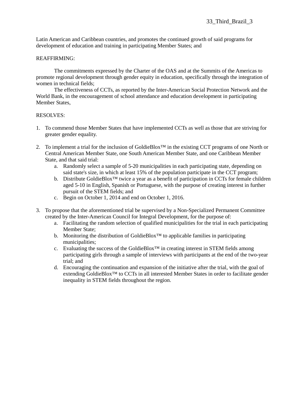Latin American and Caribbean countries, and promotes the continued growth of said programs for development of education and training in participating Member States; and

# REAFFIRMING:

The commitments expressed by the Charter of the OAS and at the Summits of the Americas to promote regional development through gender equity in education, specifically through the integration of women in technical fields;

The effectiveness of CCTs, as reported by the Inter-American Social Protection Network and the World Bank, in the encouragement of school attendance and education development in participating Member States,

- 1. To commend those Member States that have implemented CCTs as well as those that are striving for greater gender equality.
- 2. To implement a trial for the inclusion of GoldieBlox™ in the existing CCT programs of one North or Central American Member State, one South American Member State, and one Caribbean Member State, and that said trial:
	- a. Randomly select a sample of 5-20 municipalities in each participating state, depending on said state's size, in which at least 15% of the population participate in the CCT program;
	- b. Distribute GoldieBlox<sup>™</sup> twice a year as a benefit of participation in CCTs for female children aged 5-10 in English, Spanish or Portuguese, with the purpose of creating interest in further pursuit of the STEM fields; and
	- c. Begin on October 1, 2014 and end on October 1, 2016.
- 3. To propose that the aforementioned trial be supervised by a Non-Specialized Permanent Committee created by the Inter-American Council for Integral Development, for the purpose of:
	- a. Facilitating the random selection of qualified municipalities for the trial in each participating Member State;
	- b. Monitoring the distribution of GoldieBlox<sup>™</sup> to applicable families in participating municipalities;
	- c. Evaluating the success of the GoldieBlox™ in creating interest in STEM fields among participating girls through a sample of interviews with participants at the end of the two-year trial; and
	- d. Encouraging the continuation and expansion of the initiative after the trial, with the goal of extending GoldieBlox™ to CCTs in all interested Member States in order to facilitate gender inequality in STEM fields throughout the region.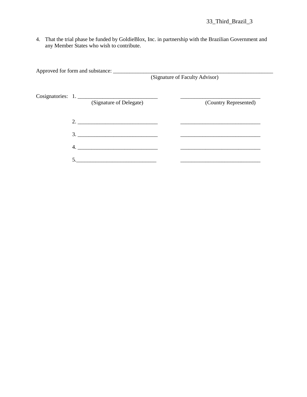4. That the trial phase be funded by GoldieBlox, Inc. in partnership with the Brazilian Government and any Member States who wish to contribute.

|                                              | (Signature of Faculty Advisor) |  |
|----------------------------------------------|--------------------------------|--|
| Cosignatories: 1.<br>(Signature of Delegate) | (Country Represented)          |  |
| 2.                                           |                                |  |
| 3.                                           |                                |  |
| 4.                                           |                                |  |
|                                              |                                |  |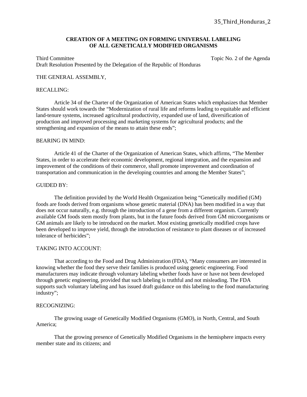#### **CREATION OF A MEETING ON FORMING UNIVERSAL LABELING OF ALL GENETICALLY MODIFIED ORGANISMS**

Third Committee Topic No. 2 of the Agenda Draft Resolution Presented by the Delegation of the Republic of Honduras

### THE GENERAL ASSEMBLY,

#### RECALLING:

Article 34 of the Charter of the Organization of American States which emphasizes that Member States should work towards the "Modernization of rural life and reforms leading to equitable and efficient land-tenure systems, increased agricultural productivity, expanded use of land, diversification of production and improved processing and marketing systems for agricultural products; and the strengthening and expansion of the means to attain these ends";

#### BEARING IN MIND:

Article 41 of the Charter of the Organization of American States, which affirms, "The Member States, in order to accelerate their economic development, regional integration, and the expansion and improvement of the conditions of their commerce, shall promote improvement and coordination of transportation and communication in the developing countries and among the Member States";

#### GUIDED BY:

The definition provided by the World Health Organization being "Genetically modified (GM) foods are foods derived from organisms whose genetic material (DNA) has been modified in a way that does not occur naturally, e.g. through the introduction of a gene from a different organism. Currently available GM foods stem mostly from plants, but in the future foods derived from GM microorganisms or GM animals are likely to be introduced on the market. Most existing genetically modified crops have been developed to improve yield, through the introduction of resistance to plant diseases or of increased tolerance of herbicides";

#### TAKING INTO ACCOUNT:

That according to the Food and Drug Administration (FDA), "Many consumers are interested in knowing whether the food they serve their families is produced using genetic engineering. Food manufacturers may indicate through voluntary labeling whether foods have or have not been developed through genetic engineering, provided that such labeling is truthful and not misleading. The FDA supports such voluntary labeling and has issued draft guidance on this labeling to the food manufacturing industry";

#### RECOGNIZING:

The growing usage of Genetically Modified Organisms (GMO), in North, Central, and South America;

That the growing presence of Genetically Modified Organisms in the hemisphere impacts every member state and its citizens; and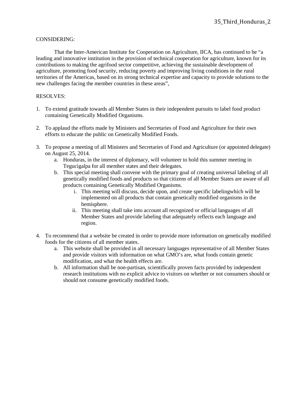# CONSIDERING:

That the Inter-American Institute for Cooperation on Agriculture, IICA, has continued to be "a leading and innovative institution in the provision of technical cooperation for agriculture, known for its contributions to making the agrifood sector competitive, achieving the sustainable development of agriculture, promoting food security, reducing poverty and improving living conditions in the rural territories of the Americas, based on its strong technical expertise and capacity to provide solutions to the new challenges facing the member countries in these areas",

- 1. To extend gratitude towards all Member States in their independent pursuits to label food product containing Genetically Modified Organisms.
- 2. To applaud the efforts made by Ministers and Secretaries of Food and Agriculture for their own efforts to educate the public on Genetically Modified Foods.
- 3. To propose a meeting of all Ministers and Secretaries of Food and Agriculture (or appointed delegate) on August 25, 2014.
	- a. Honduras, in the interest of diplomacy, will volunteer to hold this summer meeting in Tegucigalpa for all member states and their delegates.
	- b. This special meeting shall convene with the primary goal of creating universal labeling of all genetically modified foods and products so that citizens of all Member States are aware of all products containing Genetically Modified Organisms.
		- i. This meeting will discuss, decide upon, and create specific labelingwhich will be implemented on all products that contain genetically modified organisms in the hemisphere.
		- ii. This meeting shall take into account all recognized or official languages of all Member States and provide labeling that adequately reflects each language and region.
- 4. To recommend that a website be created in order to provide more information on genetically modified foods for the citizens of all member states.
	- a. This website shall be provided in all necessary languages representative of all Member States and provide visitors with information on what GMO's are, what foods contain genetic modification, and what the health effects are.
	- b. All information shall be non-partisan, scientifically proven facts provided by independent research institutions with no explicit advice to visitors on whether or not consumers should or should not consume genetically modified foods.